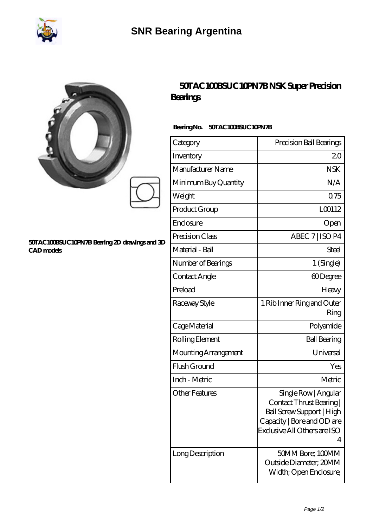

## **[SNR Bearing Argentina](https://www.seolpo-web.net)**

|                                                                    | Bearings                         | 50TAC100BSUC10PN7BNSK Super Precision |  |
|--------------------------------------------------------------------|----------------------------------|---------------------------------------|--|
|                                                                    | BearingNo.<br>50TAC100BSUC10PN7B |                                       |  |
|                                                                    | Category                         | Precision Ball Bearings               |  |
|                                                                    | Inventory                        | 20                                    |  |
|                                                                    | Manufacturer Name                | <b>NSK</b>                            |  |
|                                                                    | Minimum Buy Quantity             | N/A                                   |  |
|                                                                    | Weight                           | 0.75                                  |  |
|                                                                    | Product Group                    | LO0112                                |  |
|                                                                    | Enclosure                        | Open                                  |  |
| 50TAC100BSUC10PN7B Bearing 2D drawings and 3D<br><b>CAD</b> models | Precision Class                  | ABEC 7   ISO P4                       |  |
|                                                                    | Material - Ball                  | Steel                                 |  |
|                                                                    | Number of Bearings               | 1 (Single)                            |  |
|                                                                    | Contact Angle                    | 60Degree                              |  |
|                                                                    | Preload                          | Heavy                                 |  |
|                                                                    | Raceway Style                    | 1 Rib Inner Ring and Outer<br>Ring    |  |
|                                                                    | Cage Material                    | Polyamide                             |  |
|                                                                    | Rolling Element                  | <b>Ball Bearing</b>                   |  |
|                                                                    | Mounting Arrangement             | Universal                             |  |
|                                                                    | Flush Ground                     | Yes                                   |  |

Contact Thrust Bearing | Ball Screw Support | High Capacity | Bore and OD are Exclusive All Others are ISO

Outside Diameter; 20MM Width; Open Enclosure;

Inch - Metric and Metric Metric Metric Metric Metric Metric Metric Metric Metric Metric Metric Metric Metric Metric Metric Metric Metric Metric Metric Metric Metric Metric Metric Metric Metric Metric Metric Metric Metric M

Other Features Single Row | Angular

| Long Description | 50MM Bore; 100MM

4